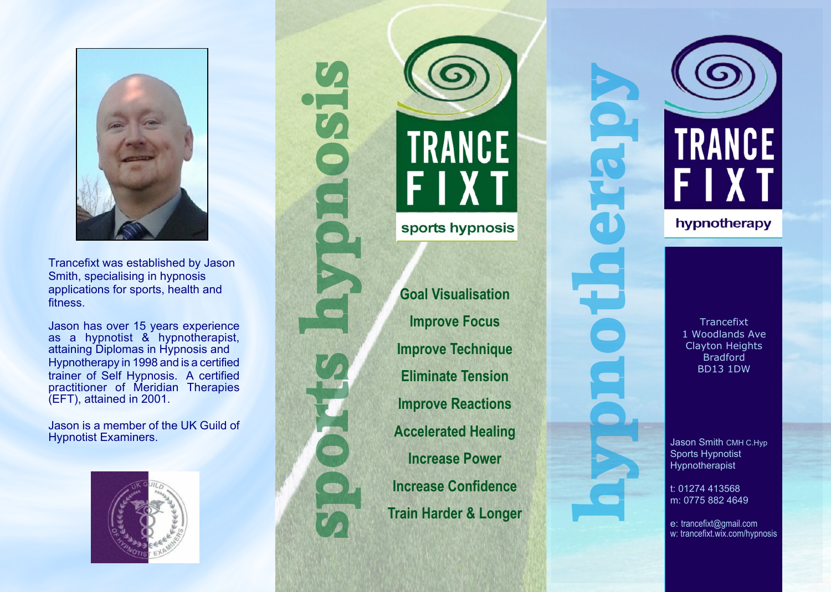

Trancefixt was established by Jason Smith, specialising in hypnosis applications for sports, health and fitness.

Jason has over 15 years experience as a hypnotist & hypnotherapist, attaining Diplomas in Hypnosis and Hypnotherapy in 1998 and is a certified trainer of Self Hypnosis. A certified practitioner of Meridian Therapies (EFT), attained in 2001.

Jason is a member of the UK Guild of Hypnotist Examiners.







**Goal Visualisation Improve Focus Improve Technique Eliminate Tension Improve Reactions Accelerated Healing Increase Power Increase Confidence Train Harder & Longer**



**Trancefixt** 1 Woodlands Ave Clayton Heights Bradford BD13 1DW

Jason Smith CMH C.Hyp Sports Hypnotist Hypnotherapist

t: 01274 413568 m: 0775 882 4649

e: trancefixt@gmail.com w: trancefixt.wix.com/hypnosis